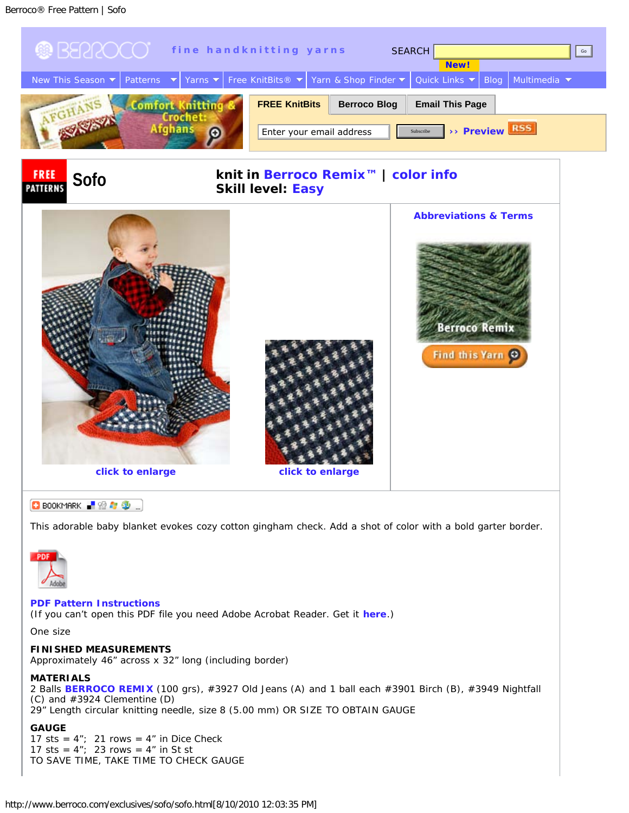<span id="page-0-1"></span>

This adorable baby blanket evokes cozy cotton gingham check. Add a shot of color with a bold garter border.



## **[PDF Pattern Instructions](http://www.berroco.com/exclusives/sofo/sofo.pdf)**

(If you can't open this PDF file you need Adobe Acrobat Reader. Get it **[here](http://www.adobe.com/products/acrobat/readstep2.html)**.)

One size

## **FINISHED MEASUREMENTS**

Approximately 46" across x 32" long (including border)

## <span id="page-0-0"></span>**MATERIALS**

2 Balls **[BERROCO REMIX](http://www.berroco.com/shade_cards/remix_sh.html)** (100 grs), #3927 Old Jeans (A) and 1 ball each #3901 Birch (B), #3949 Nightfall (C) and #3924 Clementine (D) 29" Length circular knitting needle, size 8 (5.00 mm) OR SIZE TO OBTAIN GAUGE

# **GAUGE**

17 sts =  $4"$ ; 21 rows =  $4"$  in Dice Check 17 sts =  $4"$ ; 23 rows =  $4"$  in St st TO SAVE TIME, TAKE TIME TO CHECK GAUGE